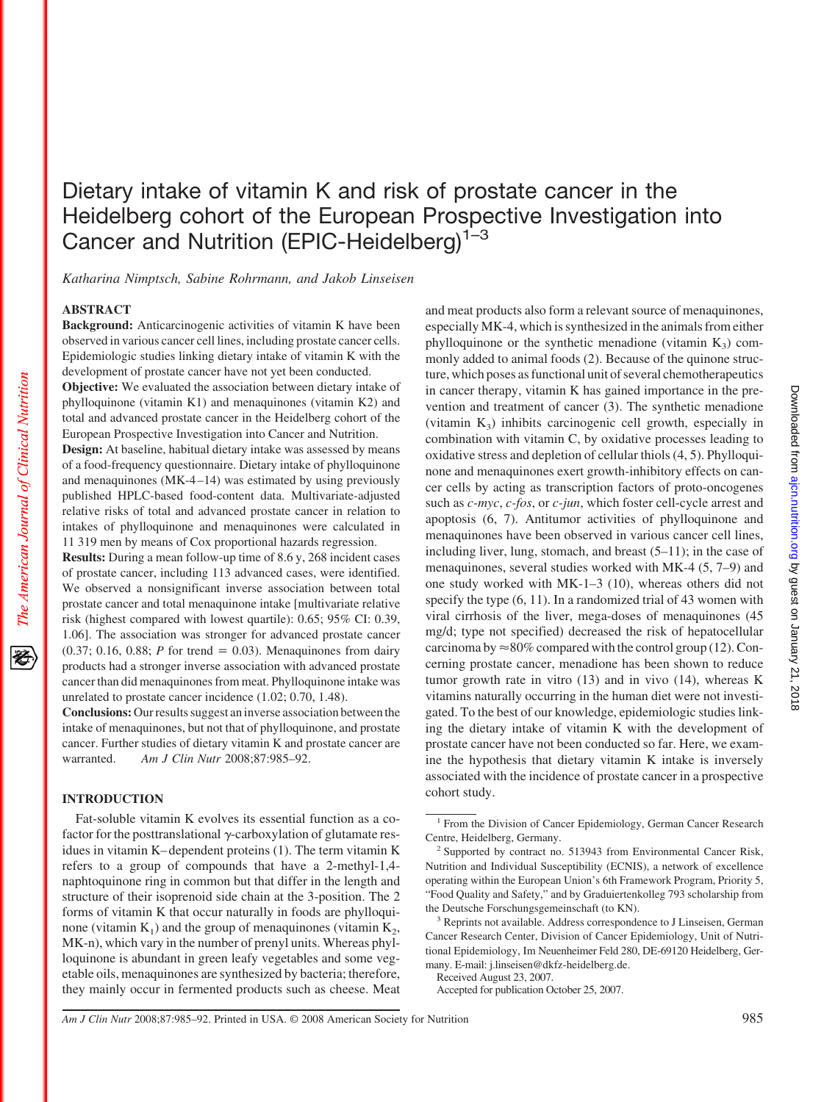# Dietary intake of vitamin K and risk of prostate cancer in the Heidelberg cohort of the European Prospective Investigation into Cancer and Nutrition (EPIC-Heidelberg)<sup>1-3</sup>

*Katharina Nimptsch, Sabine Rohrmann, and Jakob Linseisen*

## **ABSTRACT**

**Background:** Anticarcinogenic activities of vitamin K have been observed in various cancer cell lines, including prostate cancer cells. Epidemiologic studies linking dietary intake of vitamin K with the development of prostate cancer have not yet been conducted.

**Objective:** We evaluated the association between dietary intake of phylloquinone (vitamin K1) and menaquinones (vitamin K2) and total and advanced prostate cancer in the Heidelberg cohort of the European Prospective Investigation into Cancer and Nutrition.

**Design:** At baseline, habitual dietary intake was assessed by means of a food-frequency questionnaire. Dietary intake of phylloquinone and menaquinones (MK-4 –14) was estimated by using previously published HPLC-based food-content data. Multivariate-adjusted relative risks of total and advanced prostate cancer in relation to intakes of phylloquinone and menaquinones were calculated in 11 319 men by means of Cox proportional hazards regression.

**Results:** During a mean follow-up time of 8.6 y, 268 incident cases of prostate cancer, including 113 advanced cases, were identified. We observed a nonsignificant inverse association between total prostate cancer and total menaquinone intake [multivariate relative risk (highest compared with lowest quartile): 0.65; 95% CI: 0.39, 1.06]. The association was stronger for advanced prostate cancer  $(0.37; 0.16, 0.88; P$  for trend = 0.03). Menaquinones from dairy products had a stronger inverse association with advanced prostate cancer than did menaquinones from meat. Phylloquinone intake was unrelated to prostate cancer incidence (1.02; 0.70, 1.48).

**Conclusions:** Our results suggest an inverse association between the intake of menaquinones, but not that of phylloquinone, and prostate cancer. Further studies of dietary vitamin K and prostate cancer are warranted. *Am J Clin Nutr* 2008;87:985–92.

# **INTRODUCTION**

Fat-soluble vitamin K evolves its essential function as a cofactor for the posttranslational  $\gamma$ -carboxylation of glutamate residues in vitamin K– dependent proteins (1). The term vitamin K refers to a group of compounds that have a 2-methyl-1,4 naphtoquinone ring in common but that differ in the length and structure of their isoprenoid side chain at the 3-position. The 2 forms of vitamin K that occur naturally in foods are phylloquinone (vitamin  $K_1$ ) and the group of menaquinones (vitamin  $K_2$ , MK-n), which vary in the number of prenyl units. Whereas phylloquinone is abundant in green leafy vegetables and some vegetable oils, menaquinones are synthesized by bacteria; therefore, they mainly occur in fermented products such as cheese. Meat and meat products also form a relevant source of menaquinones, especially MK-4, which is synthesized in the animals from either phylloquinone or the synthetic menadione (vitamin  $K_3$ ) commonly added to animal foods (2). Because of the quinone structure, which poses as functional unit of several chemotherapeutics in cancer therapy, vitamin K has gained importance in the prevention and treatment of cancer (3). The synthetic menadione (vitamin  $K_3$ ) inhibits carcinogenic cell growth, especially in combination with vitamin C, by oxidative processes leading to oxidative stress and depletion of cellular thiols (4, 5). Phylloquinone and menaquinones exert growth-inhibitory effects on cancer cells by acting as transcription factors of proto-oncogenes such as *c-myc*, *c-fos*, or *c-jun*, which foster cell-cycle arrest and apoptosis (6, 7). Antitumor activities of phylloquinone and menaquinones have been observed in various cancer cell lines, including liver, lung, stomach, and breast (5–11); in the case of menaquinones, several studies worked with MK-4 (5, 7–9) and one study worked with MK-1–3 (10), whereas others did not specify the type (6, 11). In a randomized trial of 43 women with viral cirrhosis of the liver, mega-doses of menaquinones (45 mg/d; type not specified) decreased the risk of hepatocellular carcinoma by  $\approx 80\%$  compared with the control group (12). Concerning prostate cancer, menadione has been shown to reduce tumor growth rate in vitro (13) and in vivo (14), whereas K vitamins naturally occurring in the human diet were not investigated. To the best of our knowledge, epidemiologic studies linking the dietary intake of vitamin K with the development of prostate cancer have not been conducted so far. Here, we examine the hypothesis that dietary vitamin K intake is inversely associated with the incidence of prostate cancer in a prospective cohort study.

Received August 23, 2007.

Accepted for publication October 25, 2007.

*Am J Clin Nutr* 2008;87:985–92. Printed in USA. © 2008 American Society for Nutrition 985

<sup>1</sup> From the Division of Cancer Epidemiology, German Cancer Research Centre, Heidelberg, Germany.

<sup>2</sup> Supported by contract no. 513943 from Environmental Cancer Risk, Nutrition and Individual Susceptibility (ECNIS), a network of excellence operating within the European Union's 6th Framework Program, Priority 5, "Food Quality and Safety," and by Graduiertenkolleg 793 scholarship from the Deutsche Forschungsgemeinschaft (to KN).

<sup>&</sup>lt;sup>3</sup> Reprints not available. Address correspondence to J Linseisen, German Cancer Research Center, Division of Cancer Epidemiology, Unit of Nutritional Epidemiology, Im Neuenheimer Feld 280, DE-69120 Heidelberg, Germany. E-mail: j.linseisen@dkfz-heidelberg.de.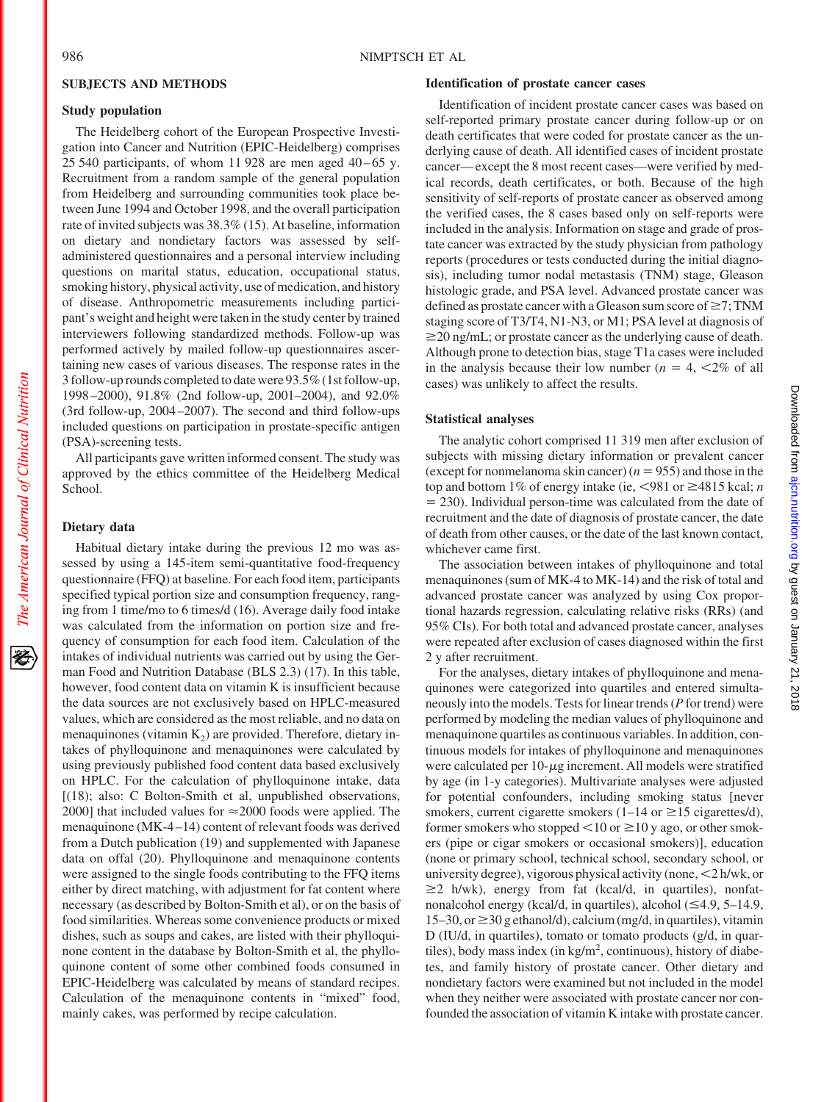## **SUBJECTS AND METHODS**

#### **Study population**

The Heidelberg cohort of the European Prospective Investigation into Cancer and Nutrition (EPIC-Heidelberg) comprises 25 540 participants, of whom 11 928 are men aged  $40-65$  y. Recruitment from a random sample of the general population from Heidelberg and surrounding communities took place between June 1994 and October 1998, and the overall participation rate of invited subjects was 38.3% (15). At baseline, information on dietary and nondietary factors was assessed by selfadministered questionnaires and a personal interview including questions on marital status, education, occupational status, smoking history, physical activity, use of medication, and history of disease. Anthropometric measurements including participant's weight and height were taken in the study center by trained interviewers following standardized methods. Follow-up was performed actively by mailed follow-up questionnaires ascertaining new cases of various diseases. The response rates in the 3 follow-up rounds completed to date were 93.5% (1st follow-up, 1998 –2000), 91.8% (2nd follow-up, 2001–2004), and 92.0% (3rd follow-up, 2004 –2007). The second and third follow-ups included questions on participation in prostate-specific antigen (PSA)-screening tests.

All participants gave written informed consent. The study was approved by the ethics committee of the Heidelberg Medical School.

#### **Dietary data**

The American Journal of Clinical Nutrition

Habitual dietary intake during the previous 12 mo was assessed by using a 145-item semi-quantitative food-frequency questionnaire (FFQ) at baseline. For each food item, participants specified typical portion size and consumption frequency, ranging from 1 time/mo to 6 times/d (16). Average daily food intake was calculated from the information on portion size and frequency of consumption for each food item. Calculation of the intakes of individual nutrients was carried out by using the German Food and Nutrition Database (BLS 2.3) (17). In this table, however, food content data on vitamin K is insufficient because the data sources are not exclusively based on HPLC-measured values, which are considered as the most reliable, and no data on menaquinones (vitamin  $K<sub>2</sub>$ ) are provided. Therefore, dietary intakes of phylloquinone and menaquinones were calculated by using previously published food content data based exclusively on HPLC. For the calculation of phylloquinone intake, data [(18); also: C Bolton-Smith et al, unpublished observations, 2000] that included values for  $\approx$  2000 foods were applied. The menaquinone (MK-4 –14) content of relevant foods was derived from a Dutch publication (19) and supplemented with Japanese data on offal (20). Phylloquinone and menaquinone contents were assigned to the single foods contributing to the FFQ items either by direct matching, with adjustment for fat content where necessary (as described by Bolton-Smith et al), or on the basis of food similarities. Whereas some convenience products or mixed dishes, such as soups and cakes, are listed with their phylloquinone content in the database by Bolton-Smith et al, the phylloquinone content of some other combined foods consumed in EPIC-Heidelberg was calculated by means of standard recipes. Calculation of the menaquinone contents in "mixed" food, mainly cakes, was performed by recipe calculation.

#### **Identification of prostate cancer cases**

Identification of incident prostate cancer cases was based on self-reported primary prostate cancer during follow-up or on death certificates that were coded for prostate cancer as the underlying cause of death. All identified cases of incident prostate cancer— except the 8 most recent cases—were verified by medical records, death certificates, or both. Because of the high sensitivity of self-reports of prostate cancer as observed among the verified cases, the 8 cases based only on self-reports were included in the analysis. Information on stage and grade of prostate cancer was extracted by the study physician from pathology reports (procedures or tests conducted during the initial diagnosis), including tumor nodal metastasis (TNM) stage, Gleason histologic grade, and PSA level. Advanced prostate cancer was defined as prostate cancer with a Gleason sum score of  $\geq$ 7; TNM staging score of T3/T4, N1-N3, or M1; PSA level at diagnosis of  $\geq$ 20 ng/mL; or prostate cancer as the underlying cause of death. Although prone to detection bias, stage T1a cases were included in the analysis because their low number  $(n = 4, \langle 2\% \rangle)$  of all cases) was unlikely to affect the results.

## **Statistical analyses**

The analytic cohort comprised 11 319 men after exclusion of subjects with missing dietary information or prevalent cancer (except for nonmelanoma skin cancer)  $(n = 955)$  and those in the top and bottom 1% of energy intake (ie,  $\leq 981$  or  $\geq 4815$  kcal; *n*  $=$  230). Individual person-time was calculated from the date of recruitment and the date of diagnosis of prostate cancer, the date of death from other causes, or the date of the last known contact, whichever came first.

The association between intakes of phylloquinone and total menaquinones (sum of MK-4 to MK-14) and the risk of total and advanced prostate cancer was analyzed by using Cox proportional hazards regression, calculating relative risks (RRs) (and 95% CIs). For both total and advanced prostate cancer, analyses were repeated after exclusion of cases diagnosed within the first 2 y after recruitment.

For the analyses, dietary intakes of phylloquinone and menaquinones were categorized into quartiles and entered simultaneously into the models. Tests for linear trends (*P* for trend) were performed by modeling the median values of phylloquinone and menaquinone quartiles as continuous variables. In addition, continuous models for intakes of phylloquinone and menaquinones were calculated per  $10$ - $\mu$ g increment. All models were stratified by age (in 1-y categories). Multivariate analyses were adjusted for potential confounders, including smoking status [never smokers, current cigarette smokers (1–14 or  $\geq$ 15 cigarettes/d), former smokers who stopped  $<$  10 or  $\geq$  10 y ago, or other smokers (pipe or cigar smokers or occasional smokers)], education (none or primary school, technical school, secondary school, or university degree), vigorous physical activity (none,  $\leq$ 2 h/wk, or  $\geq$ 2 h/wk), energy from fat (kcal/d, in quartiles), nonfatnonalcohol energy (kcal/d, in quartiles), alcohol  $(\leq 4.9, 5-14.9,$  $15-30$ , or  $\geq 30$  g ethanol/d), calcium (mg/d, in quartiles), vitamin D (IU/d, in quartiles), tomato or tomato products (g/d, in quartiles), body mass index (in kg/m<sup>2</sup>, continuous), history of diabetes, and family history of prostate cancer. Other dietary and nondietary factors were examined but not included in the model when they neither were associated with prostate cancer nor confounded the association of vitamin K intake with prostate cancer.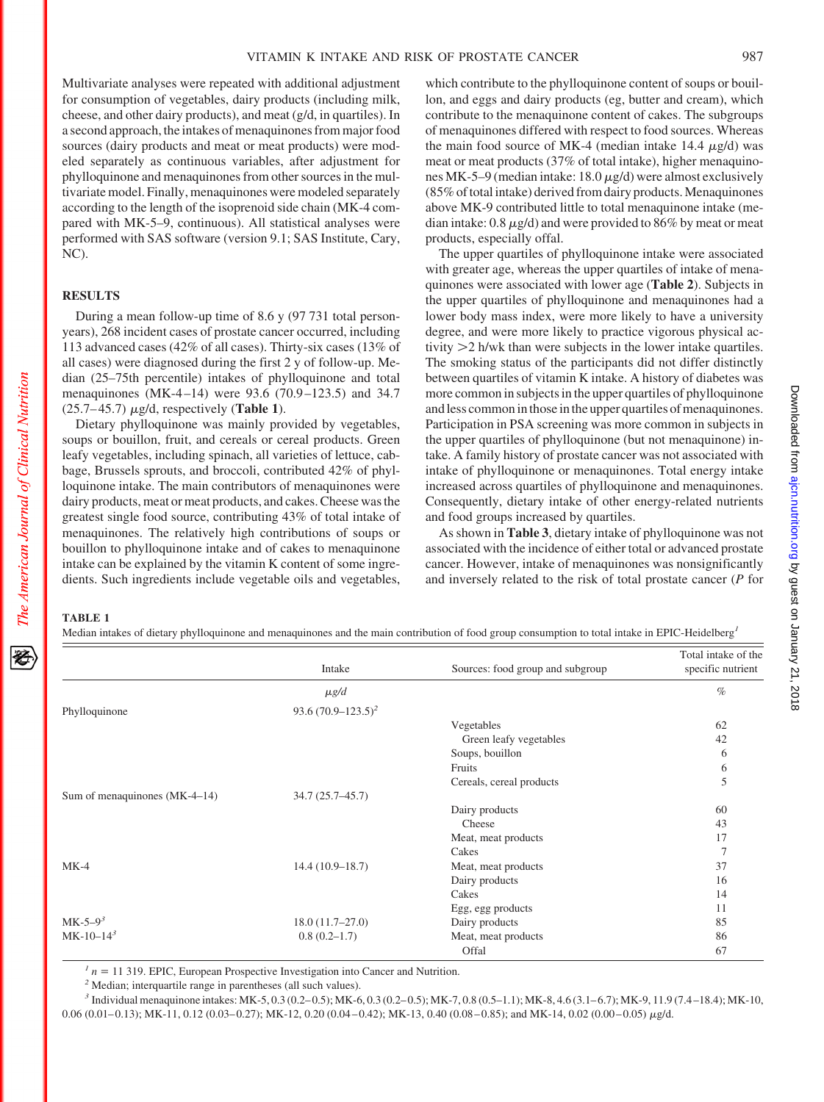Multivariate analyses were repeated with additional adjustment for consumption of vegetables, dairy products (including milk, cheese, and other dairy products), and meat (g/d, in quartiles). In a second approach, the intakes of menaquinones from major food sources (dairy products and meat or meat products) were modeled separately as continuous variables, after adjustment for phylloquinone and menaquinones from other sources in the multivariate model. Finally, menaquinones were modeled separately according to the length of the isoprenoid side chain (MK-4 compared with MK-5–9, continuous). All statistical analyses were performed with SAS software (version 9.1; SAS Institute, Cary, NC).

# **RESULTS**

During a mean follow-up time of 8.6 y (97 731 total personyears), 268 incident cases of prostate cancer occurred, including 113 advanced cases (42% of all cases). Thirty-six cases (13% of all cases) were diagnosed during the first 2 y of follow-up. Median (25–75th percentile) intakes of phylloquinone and total menaquinones (MK-4-14) were 93.6 (70.9-123.5) and 34.7  $(25.7-45.7)$   $\mu$ g/d, respectively (**Table 1**).

Dietary phylloquinone was mainly provided by vegetables, soups or bouillon, fruit, and cereals or cereal products. Green leafy vegetables, including spinach, all varieties of lettuce, cabbage, Brussels sprouts, and broccoli, contributed 42% of phylloquinone intake. The main contributors of menaquinones were dairy products, meat or meat products, and cakes. Cheese was the greatest single food source, contributing 43% of total intake of menaquinones. The relatively high contributions of soups or bouillon to phylloquinone intake and of cakes to menaquinone intake can be explained by the vitamin K content of some ingredients. Such ingredients include vegetable oils and vegetables,

which contribute to the phylloquinone content of soups or bouillon, and eggs and dairy products (eg, butter and cream), which contribute to the menaquinone content of cakes. The subgroups of menaquinones differed with respect to food sources. Whereas the main food source of MK-4 (median intake  $14.4 \mu g/d$ ) was meat or meat products (37% of total intake), higher menaquinones MK-5–9 (median intake: 18.0  $\mu$ g/d) were almost exclusively (85% of total intake) derived from dairy products.Menaquinones above MK-9 contributed little to total menaquinone intake (median intake: 0.8  $\mu$ g/d) and were provided to 86% by meat or meat products, especially offal.

The upper quartiles of phylloquinone intake were associated with greater age, whereas the upper quartiles of intake of menaquinones were associated with lower age (**Table 2**). Subjects in the upper quartiles of phylloquinone and menaquinones had a lower body mass index, were more likely to have a university degree, and were more likely to practice vigorous physical activity  $>2$  h/wk than were subjects in the lower intake quartiles. The smoking status of the participants did not differ distinctly between quartiles of vitamin K intake. A history of diabetes was more common in subjects in the upper quartiles of phylloquinone and less common in those in the upper quartiles of menaquinones. Participation in PSA screening was more common in subjects in the upper quartiles of phylloquinone (but not menaquinone) intake. A family history of prostate cancer was not associated with intake of phylloquinone or menaquinones. Total energy intake increased across quartiles of phylloquinone and menaquinones. Consequently, dietary intake of other energy-related nutrients and food groups increased by quartiles.

As shown in **Table 3**, dietary intake of phylloquinone was not associated with the incidence of either total or advanced prostate cancer. However, intake of menaquinones was nonsignificantly and inversely related to the risk of total prostate cancer (*P* for

## **TABLE 1**

Median intakes of dietary phylloquinone and menaquinones and the main contribution of food group consumption to total intake in EPIC-Heidelberg*<sup>1</sup>*

|                               | Intake                  | Sources: food group and subgroup | Total intake of the<br>specific nutrient |
|-------------------------------|-------------------------|----------------------------------|------------------------------------------|
|                               | $\mu$ g/d               |                                  | $\%$                                     |
| Phylloquinone                 | 93.6 $(70.9 - 123.5)^2$ |                                  |                                          |
|                               |                         | Vegetables                       | 62                                       |
|                               |                         | Green leafy vegetables           | 42                                       |
|                               |                         | Soups, bouillon                  | 6                                        |
|                               |                         | Fruits                           | 6                                        |
|                               |                         | Cereals, cereal products         | 5                                        |
| Sum of menaquinones (MK-4-14) | $34.7(25.7 - 45.7)$     |                                  |                                          |
|                               |                         | Dairy products                   | 60                                       |
|                               |                         | Cheese                           | 43                                       |
|                               |                         | Meat, meat products              | 17                                       |
|                               |                         | Cakes                            | $\overline{7}$                           |
| $MK-4$                        | $14.4(10.9-18.7)$       | Meat, meat products              | 37                                       |
|                               |                         | Dairy products                   | 16                                       |
|                               |                         | Cakes                            | 14                                       |
|                               |                         | Egg, egg products                | 11                                       |
| $MK-5-9^3$                    | $18.0(11.7-27.0)$       | Dairy products                   | 85                                       |
| $MK-10-14^3$                  | $0.8(0.2-1.7)$          | Meat, meat products              | 86                                       |
|                               |                         | Offal                            | 67                                       |

 $<sup>1</sup> n = 11 319$ . EPIC, European Prospective Investigation into Cancer and Nutrition.</sup>

*<sup>2</sup>* Median; interquartile range in parentheses (all such values).

*<sup>3</sup>* Individual menaquinone intakes: MK-5, 0.3 (0.2– 0.5); MK-6, 0.3 (0.2– 0.5); MK-7, 0.8 (0.5–1.1); MK-8, 4.6 (3.1– 6.7); MK-9, 11.9 (7.4 –18.4); MK-10,  $0.06(0.01-0.13)$ ; MK-11,  $0.12(0.03-0.27)$ ; MK-12,  $0.20(0.04-0.42)$ ; MK-13,  $0.40(0.08-0.85)$ ; and MK-14,  $0.02(0.00-0.05)$   $\mu$ g/d.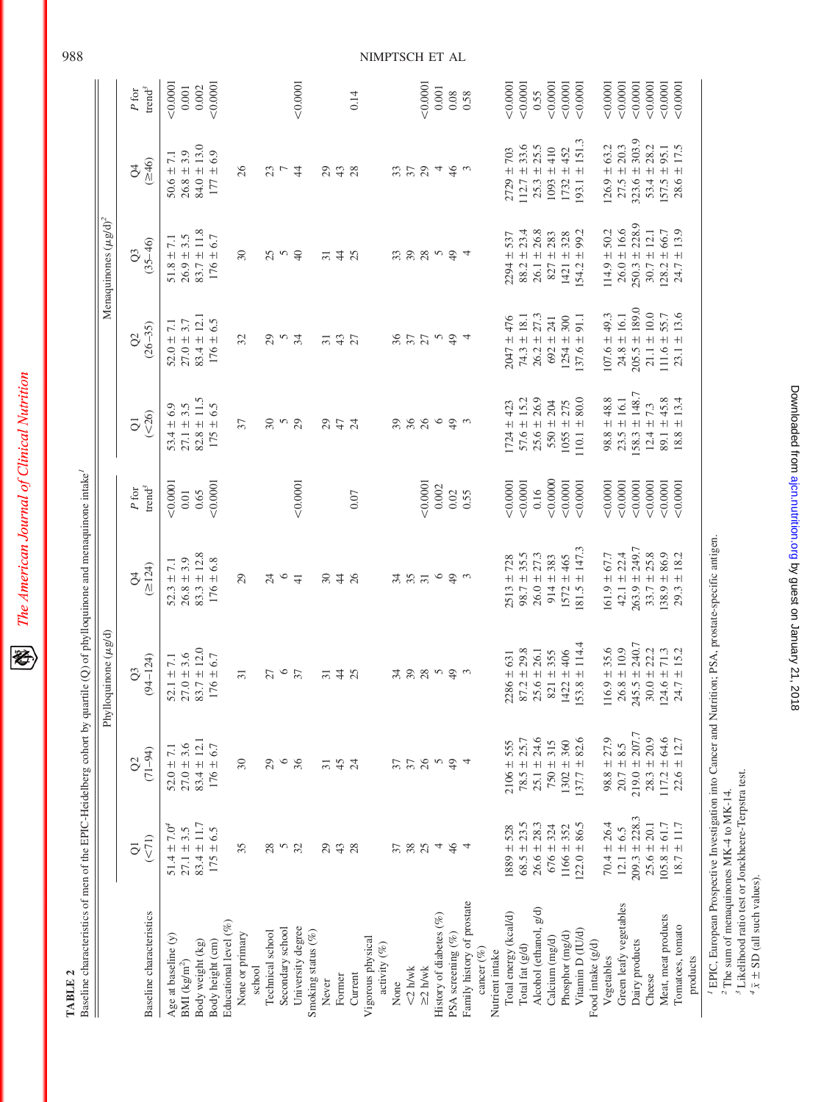| Baseline characteristics of men of the EPIC-Heidelberg cohort by quartile (Q) of phylloquinone and menaquinone intake <sup>1</sup><br>TABLE <sub>2</sub> |                                  |                         |                                                        |                         |                           |                                  |                         |                                  |                          |                           |
|----------------------------------------------------------------------------------------------------------------------------------------------------------|----------------------------------|-------------------------|--------------------------------------------------------|-------------------------|---------------------------|----------------------------------|-------------------------|----------------------------------|--------------------------|---------------------------|
|                                                                                                                                                          |                                  |                         | Phylloquinone (µg/d)                                   |                         |                           |                                  |                         | Menaquinones (µg/d) <sup>2</sup> |                          |                           |
| Baseline characteristics                                                                                                                                 | $(5 - 71)$<br>$\overline{\circ}$ | $(71 - 94)$<br>$\infty$ | $(94 - 124)$<br>$\overline{Q}$                         | $(\geq 124)$<br>$\beta$ | $\text{trend}^3$<br>P for | ( < 26)<br>$\overline{\circ}$    | $(26 - 35)$<br>$\infty$ | $(35 - 46)$<br>$\overline{Q}$    | (≥46)<br>$\beta$         | trend $3$<br>$\cal P$ for |
| Age at baseline $(y)$                                                                                                                                    | $51.4 \pm 7.0^4$                 | $52.0 \pm 7.1$          | $52.1 \pm 7.1$<br>$27.0 \pm 3.6$<br>$83.7 \pm 12.0$    | $52.3 \pm 7.1$          | < 0.0001                  | $53.4 \pm 6.9$<br>27.1 $\pm$ 3.5 | $52.0 \pm 7.1$          | $51.8 \pm 7.1$                   | $50.6 \pm 7.1$           | < 0.0001                  |
| $BMI$ (kg/m <sup>2</sup> )                                                                                                                               | $27.1 \pm 3.5$                   | $27.0 \pm 3.6$          |                                                        | $26.8 \pm 3.9$          | 0.01                      |                                  | $27.0 \pm 3.7$          | $26.9 \pm 3.5$                   | $26.8 \pm 3.9$           | 0.001                     |
| Body weight (kg)                                                                                                                                         | $83.4 \pm 11.7$                  | $83.4 \pm 12.1$         |                                                        | $83.3 \pm 12.8$         | 0.65                      | $82.8 \pm 11.5$                  | $83.4 \pm 12.1$         | $83.7 \pm 11.8$                  | $84.0 \pm 13.0$          | 0.002                     |
| Educational level (%)<br>Body height (cm)                                                                                                                | $175 \pm 6.5$                    | $176 \pm 6.7$           | $176 \pm 6.7$                                          | $176 \pm 6.8$           | < 0.0001                  | $175 \pm 6.5$                    | $176 \pm 6.5$           | $176 \pm 6.7$                    | $177 \pm 6.9$            | < 0.0001                  |
| None or primary                                                                                                                                          | 35                               | $30\,$                  | $\overline{31}$                                        | 29                      |                           | 37                               | 32                      | $\boldsymbol{30}$                | 26                       |                           |
| school                                                                                                                                                   |                                  |                         |                                                        |                         |                           |                                  |                         |                                  |                          |                           |
| Technical school                                                                                                                                         | 28                               | $\mathfrak{S}$          | 27                                                     | $\overline{24}$         |                           | 30                               | 29                      |                                  |                          |                           |
| Secondary school                                                                                                                                         | $\omega$                         | $\circ$                 | $\circ$                                                | $\circ$                 |                           | $\sim$                           | $\sim$                  | $\frac{25}{20}$                  | 23                       |                           |
| University degree                                                                                                                                        | 32                               | 36                      | 37                                                     | $\frac{1}{4}$           | < 0.0001                  | 29                               | 34                      | $\Theta$                         | $\overline{4}$           | < 0.0001                  |
| Smoking status (%)                                                                                                                                       |                                  |                         |                                                        |                         |                           |                                  |                         |                                  |                          |                           |
| Never                                                                                                                                                    | 29                               | $\overline{31}$         | $\overline{31}$                                        | $30\,$                  |                           | 29                               | $\overline{31}$         | $\overline{31}$                  | 29                       |                           |
| Former                                                                                                                                                   | 43                               | $45$                    | 44                                                     | 44                      |                           | $\pm$                            | $\frac{43}{27}$         | 42                               | $43$                     |                           |
| Current                                                                                                                                                  | 28                               | $\overline{z}$          | 25                                                     | 26                      | 0.07                      | $\overline{24}$                  |                         |                                  | 28                       | 0.14                      |
| Vigorous physical                                                                                                                                        |                                  |                         |                                                        |                         |                           |                                  |                         |                                  |                          |                           |
| activity (%)                                                                                                                                             |                                  |                         |                                                        |                         |                           |                                  |                         |                                  |                          |                           |
| None                                                                                                                                                     | 37                               |                         | 34                                                     |                         |                           | 39                               |                         |                                  |                          |                           |
| $<$ 2 h/wk                                                                                                                                               | 38                               | 3789                    | 39                                                     | $\frac{4}{35}$          |                           | 36                               | 357                     | 398                              | 378                      |                           |
| $\geq$ 2 h/wk                                                                                                                                            | 25                               |                         | 280                                                    |                         | < 0.0001                  |                                  |                         |                                  |                          | < 0.0001                  |
| History of diabetes (%)                                                                                                                                  | 4                                |                         |                                                        | $\circ$                 | 0.002                     | $\circ$                          | $\sim$                  | $\sim$                           | $\overline{\phantom{a}}$ | 0.001                     |
| PSA screening (%)                                                                                                                                        | 46                               | $49$                    | 49                                                     | 49                      | 0.02                      | 49                               | 49                      | $\frac{1}{2}$                    | 46                       | $0.08$<br>0.58            |
| Family history of prostate                                                                                                                               |                                  | 4                       | $\omega$                                               | $\mathfrak{c}$          | 0.55                      | $\omega$                         | 4                       | 4                                | $\mathfrak{c}$           |                           |
| cancer (%)                                                                                                                                               |                                  |                         |                                                        |                         |                           |                                  |                         |                                  |                          |                           |
| Nutrient intake                                                                                                                                          |                                  |                         |                                                        |                         |                           |                                  |                         |                                  |                          |                           |
| Total energy (kcal/d)                                                                                                                                    | $1889 \pm 528$                   | $2106 \pm 555$          | $2286 \pm 631$                                         | $2513 + 728$            | < 0.0001                  | $1724 \pm 423$                   | $2047 + 476$            | $2294 \pm 537$                   | $2729 \pm 703$           | < 0.0001                  |
| Total fat (g/d)                                                                                                                                          | $68.5 \pm 23.5$                  | $78.5 \pm 25.7$         | 29.8<br>$87.2 \pm 1$                                   | $98.7 \pm 35.5$         | < 0.0001                  | $57.6 \pm 15.2$                  | $\pm$ 18.1<br>74.3      | 23.4<br>$+$<br>88.2              | ± 33.6<br>112.7          | < 0.0001                  |
| Alcohol (ethanol, g/d)                                                                                                                                   | $26.6 \pm 28.3$                  | $25.1 \pm 24.6$         | 26.1<br>$25.6 \pm$                                     | 27.3<br>$26.0 \pm$      | 0.16                      | 26.9<br>$25.6 \pm 2$             | 27.3<br>$26.2 \pm$      | 26.8<br>$26.1 \pm$               | 25.5<br>$+1$<br>25.3     | 0.55                      |
| Calcium (mg/d)                                                                                                                                           | $676 \pm 324$                    | $750 \pm 315$           | 355<br>821 $\pm$                                       | $914 \pm 383$           | < 0.0000                  | $550 \pm 204$                    | $692 \pm 241$           | 283<br>$827 \pm 7$               | $1093 \pm 410$           | < 0.0001                  |
| Phosphor (mg/d)                                                                                                                                          | $1166 \pm 352$                   | $1302 \pm 360$          | $1422 \pm 406$                                         | $1572 \pm 465$          | < 0.0001                  | $1055 \pm 275$                   | $1254 \pm 300$          | 328<br>$1421 \pm 1$              | ±452<br>1732:            | < 0.0001                  |
| Vitamin D (IU/d)                                                                                                                                         | $122.0 \pm 86.5$                 | $37.7 \pm 82.6$         | $153.8 \pm 114.4$                                      | $81.5 \pm 147.3$        | < 0.0001                  | $\pm$ 80.0<br>110.1              | 91.1<br>$+$<br>137.6    | 99.2<br>$+1$<br>154.2            | ±151.3<br>193.1          | < 0.0001                  |
| Food intake (g/d)                                                                                                                                        |                                  |                         |                                                        |                         |                           |                                  |                         |                                  |                          |                           |
| Vegetables                                                                                                                                               | $70.4 \pm 26.4$                  | $98.8 \pm 27.9$         | $116.9 \pm 35.6$                                       | $161.9 \pm 67.7$        | < 0.0001                  | $98.8 \pm 48.8$                  | $107.6 \pm 49.3$        | $114.9 \pm 50.2$                 | $126.9 \pm 63.2$         | < 0.0001                  |
| Green leafy vegetables                                                                                                                                   | $12.1 \pm 6.5$                   | $20.7\pm8.5$            | $26.8 \pm 10.9$                                        | $42.1 \pm 22.4$         | < 0.0001                  | $\pm$ 16.1<br>$23.5$ :           | $24.8 \pm 16.1$         | $26.0 \pm 16.6$                  | $27.5 \pm 20.3$          | < 0.0001                  |
| Dairy products                                                                                                                                           | $209.3 \pm 228.3$                | $219.0 \pm 207.7$       | 240.7<br>$245.5 \pm$                                   | $263.9 \pm 249.7$       | < 0.0001                  | $158.3 \pm 148.7$                | $205.5 \pm 189.0$       | $250.3 \pm 228.9$                | $323.6 \pm 303.9$        | < 0.0001                  |
| Cheese                                                                                                                                                   | $25.6 \pm 20.1$                  | $28.3 \pm 20.9$         | $30.0 \pm 22.2$<br>$124.6 \pm 71.3$<br>$24.7 \pm 15.2$ | $\pm$ 25.8<br>33.7      | 50,0001                   | $12.4 \pm 7.3$                   | $21.1 \pm 10.0$         | $30.7 \pm 12.1$                  | $53.4 \pm 28.2$          | < 0.0001                  |
| Meat, meat products                                                                                                                                      | $105.8 \pm 61.7$                 | $117.2 \pm 64.6$        |                                                        | $\pm\,86.9$<br>138.9:   | < 0.0001                  | $\pm$ 45.8<br>89.1               | $111.6 \pm 55.7$        | $128.2 \pm 66.7$                 | $57.5 \pm 95.1$          | < 0.0001                  |
| Tomatoes, tomato                                                                                                                                         | $\pm$ 11.7<br>18.7               | $22.6 \pm 12.7$         |                                                        | $\pm$ 18.2<br>29.3      | < 0.0001                  | ± 13.4<br>18.8                   | ± 13.6<br>23.1          | ± 13.9<br>24.7                   | ± 17.5<br>28.6           | < 0.0001                  |
| products                                                                                                                                                 |                                  |                         |                                                        |                         |                           |                                  |                         |                                  |                          |                           |

The American Journal of Clinical Nutrition

经

988 NIMPTSCH ET AL

Downloaded from ajon.nutrition.org by guest on January 21, 2018 by guest on January 21, 2018 [ajcn.nutrition.org](http://ajcn.nutrition.org/) Downloaded from

*1234*

 The sum of menaquinones MK-4 to MK-14. Likelihood ratio test or Jonckheere-Terpstra test.

 $\sqrt{x} \pm SD$  (all such values).

EPIC, European Prospective Investigation into Cancer and Nutrition; PSA, prostate-specific antigen.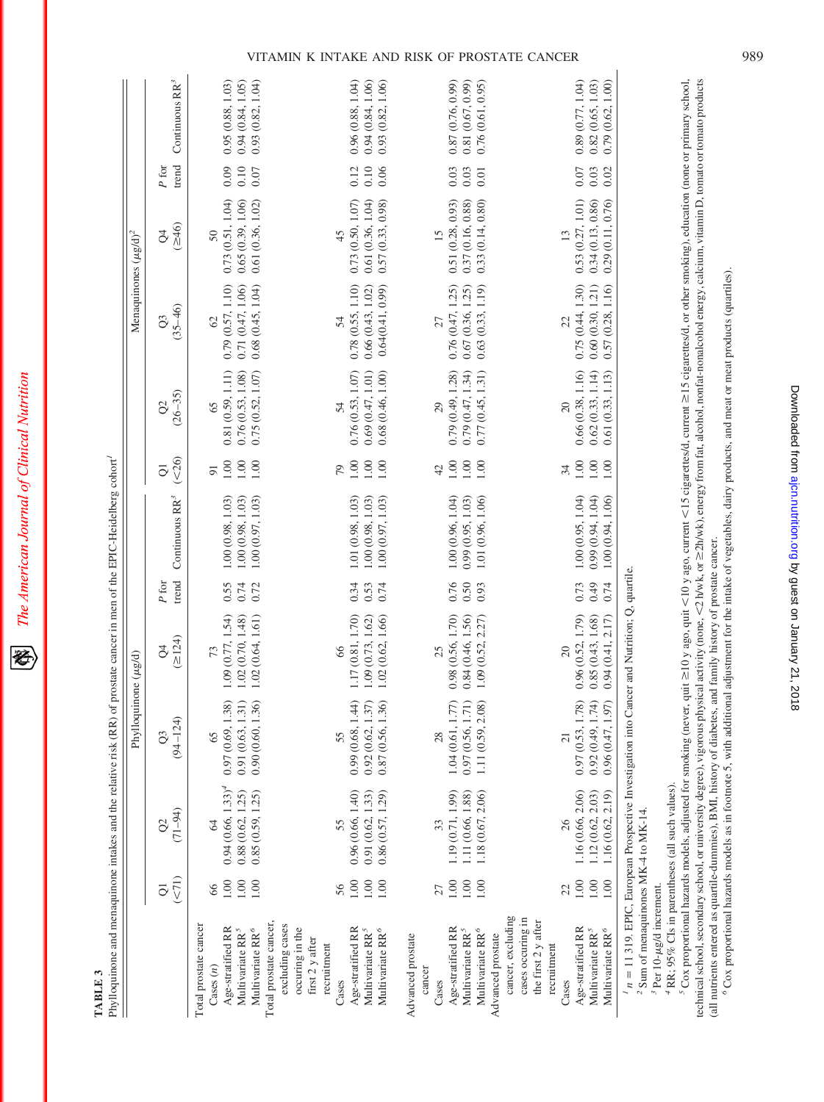| Phylloquinone and menaquinone intakes and the relative risk (RR) of prostate cancer in men of the EPIC-Heidelberg cohort <sup>/</sup>                                                             |                             |                                                                     | Phylloquinone (µg/d)                                                                          |                                                                               |                      |                                                           |                                         |                                                                         | Menaquinones (µg/d) <sup>2</sup>                               |                                                                |                      |                                                                  |
|---------------------------------------------------------------------------------------------------------------------------------------------------------------------------------------------------|-----------------------------|---------------------------------------------------------------------|-----------------------------------------------------------------------------------------------|-------------------------------------------------------------------------------|----------------------|-----------------------------------------------------------|-----------------------------------------|-------------------------------------------------------------------------|----------------------------------------------------------------|----------------------------------------------------------------|----------------------|------------------------------------------------------------------|
|                                                                                                                                                                                                   | $(5 - 71)$<br>$\bar{\circ}$ | $(71 - 94)$<br>$\infty$                                             | $(94 - 124)$<br>$\infty$                                                                      | (24)<br>$\beta$                                                               | trend<br>P for       | Continuous RR <sup>3</sup>                                | $($ < 26)<br>$\bar{\circ}$              | $(26 - 35)$<br>$\overline{Q}$                                           | $(35 - 46)$<br>$\infty$                                        | $(\geq 46)$<br>$\beta$                                         | trend<br>P for       | Continuous RR <sup>3</sup>                                       |
| Total prostate cancer,<br>Total prostate cancer<br>Age-stratified RR<br>Multivariate RR <sup>6</sup><br>Multivariate RR <sup>5</sup><br>$\text{Cases}(n)$                                         | 1.00<br>1.00<br>0.001<br>66 | $0.94(0.66, 1.33)^4$<br>0.88 (0.62, 1.25)<br>0.85(0.59, 1.25)<br>64 | 0.97(0.69, 1.38)<br>0.91(0.63, 1.31)<br>0.90(0.60, 1.36)<br>65                                | 1.09(0.77, 1.54)<br>1.02(0.70, 1.48)<br>1.02(0.64, 1.61)<br>73                | 0.55<br>0.74<br>0.72 | 1.00(0.98, 1.03)<br>1.00(0.98, 1.03)<br>1.00(0.97, 1.03)  | 1.00<br>1.00<br>1.00<br>$\overline{91}$ | 0.81 (0.59, 1.11)<br>0.76(0.53, 1.08)<br>0.75(0.52, 1.07)<br>65         | 0.79(0.57, 1.10)<br>0.71(0.47, 1.06)<br>0.68(0.45, 1.04)<br>62 | 0.73(0.51, 1.04)<br>0.65(0.39, 1.06)<br>0.61(0.36, 1.02)<br>50 | 0.09<br>0.10<br>0.07 | 1.04<br>1.05<br>1.03<br>0.94(0.84,<br>0.95 (0.88,<br>0.93 (0.82, |
| excluding cases<br>Age-stratified RR<br>occuring in the<br>Multivariate RR <sup>6</sup><br>Multivariate RR <sup>5</sup><br>first 2 y after<br>recruitment<br>Cases                                | 1.00<br>1.00<br>0.001<br>56 | 0.96(0.66, 1.40)<br>0.86(0.57, 1.29)<br>0.91(0.62, 1.33)<br>55      | 0.99(0.68, 1.44)<br>$0.92\ (0.62,\,1.37)$<br>0.87(0.56, 1.36)<br>55                           | 1.17(0.81, 1.70)<br>1.09(0.73, 1.62)<br>1.02 (0.62, 1.66)<br>8                | 0.34<br>0.53<br>0.74 | 1.01(0.98, 1.03)<br>1.00(0.98, 1.03)<br>1.00(0.97, 1.03)  | 1.00<br>1.00<br>1.00<br>79              | 0.69(0.47, 1.01)<br>0.76(0.53, 1.07)<br>0.68(0.46, 1.00)<br>54          | 0.78(0.55, 1.10)<br>0.66(0.43, 1.02)<br>0.64(0.41, 0.99)<br>54 | 0.73(0.50, 1.07)<br>0.61(0.36, 1.04)<br>0.57(0.33, 0.98)<br>45 | 0.12<br>0.10<br>0.06 | 0.96(0.88, 1.04)<br>0.94(0.84, 1.06)<br>0.93 (0.82, 1.06)        |
| Age-stratified RR<br>Multivariate RR <sup>5</sup><br>Multivariate RR <sup>6</sup><br>Advanced prostate<br>cancer<br>Cases                                                                         | 1.00<br>1.00<br>00.1<br>27  | 1.19(0.71, 1.99)<br>1.18 (0.67, 2.06)<br>1.11 (0.66, 1.88)<br>33    | 1.04(0.61, 1.77)<br>0.97(0.56, 1.71)<br>1.11 (0.59, 2.08)<br>28                               | 0.98 (0.56, 1.70)<br>0.84(0.46, 1.56)<br>1.09(0.52, 2.27)<br>25               | 0.76<br>0.50<br>0.93 | 1.00(0.96, 1.04)<br>0.99(0.95, 1.03)<br>1.01 (0.96, 1.06) | $1.00\,$<br>1.00<br>1,00<br>42          | 0.79(0.49, 1.28)<br>0.79(0.47, 1.34)<br>0.77(0.45, 1.31)<br>29          | 0.76(0.47, 1.25)<br>0.67(0.36, 1.25)<br>0.63(0.33, 1.19)<br>27 | 0.51(0.28, 0.93)<br>0.37(0.16, 0.88)<br>0.33(0.14, 0.80)<br>15 | 0.03<br>0.03<br>0.01 | 0.81(0.67, 0.99)<br>0.76(0.61, 0.95)<br>0.87 (0.76, 0.99)        |
| cancer, excluding<br>cases occuring in<br>the first $2 y$ after<br>Age-stratified RR<br>Multivariate RR <sup>5</sup><br>Multivariate $\mathrm{RR}^6$<br>Advanced prostate<br>recruitment<br>Cases | 1.00<br>1.00<br>00.1<br>22  | 1.16 (0.62, 2.19)<br>1.16 (0.66, 2.06)<br>1.12 (0.62, 2.03)<br>26   | 0.97(0.53, 1.78)<br>0.92(0.49, 1.74)<br>0.96(0.47, 1.97)<br>$\overline{21}$                   | 0.85(0.43, 1.68)<br>0.96(0.52, 1.79)<br>2.17<br>0.94(0.41,<br>$\overline{20}$ | 0.49<br>0.73<br>0.74 | 1.00(0.95, 1.04)<br>0.99(0.94, 1.04)<br>1.00 (0.94, 1.06) | $1.00\,$<br>1.00<br>1.00                | 0.66(0.38, 1.16)<br>0.62(0.33, 1.14)<br>1.13<br>0.61 (0.33,<br>$\infty$ | 0.60(0.30, 1.21)<br>0.75(0.44, 1.30)<br>0.57(0.28, 1.16)<br>22 | 0.53(0.27, 1.01)<br>0.34(0.13, 0.86)<br>0.29(0.11, 0.76)<br>13 | 0.03<br>0.07<br>0.02 | 1.00)<br>0.89(0.77, 1.04)<br>0.82(0.65, 1.03)<br>0.79 (0.62,     |
| $^2$ Sum of menaquinones MK-4 to MK-14.<br><sup>3</sup> Per 10- $\mu$ g/d increment.                                                                                                              |                             |                                                                     | $n = 11319$ . EPIC, European Prospective Investigation into Cancer and Nutrition; Q, quartile |                                                                               |                      |                                                           |                                         |                                                                         |                                                                |                                                                |                      |                                                                  |

7 *4*

RR; 95% CIs in parentheses (all such values).

<sup>5</sup> Cox proportional hazards models, adjusted for smoking (never, quit ≥10 y ago, quit <10 y ago, current <15 cigarettes/d, current ≥15 cigarettes/d, or other smoking), education (none or primary school, technical school, secondary school, or university degree), vigorous physical activity (none, <2 h/wk, or ≥2h/wk), energy from fat, alcohol, nonfat-nonalcohol energy, calcium, vitamin D, tomato or tomato products 15 cigarettes/d, or other smoking), education (none or primary school,  $\geq$ 2h/wk), energy from fat, alcohol, nonfat-nonalcohol energy, calcium, vitamin D, tomato or tomato products 15 cigarettes/d, current 10 y ago, current (all nutrients entered as quartile-dummies), BMI, history of diabetes, and family history of prostate cancer. 2 h/wk, or  $\geq$  10 y ago, quit technical school, secondary school, or university degree), vigorous physical activity (none, Cox proportional hazards models, adjusted for smoking (never, quit

<sup>6</sup>Cox proportional hazards models as in footnote 5, with additional adjustment for the intake of vegetables, dairy products, and meat or meat products (quartiles). (all nutrients entered as quartile-dummies), BMI, history of diabetes, and family history of prostate cancer.<br><sup>6</sup> Cox proportional hazards models as in footnote 5, with additional adjustment for the intake of vegetables, d

by guest on January 21, 2018 [ajcn.nutrition.org](http://ajcn.nutrition.org/) Downloaded from

Downloaded from ajcn.nutrition.org by guest on January 21, 2018

经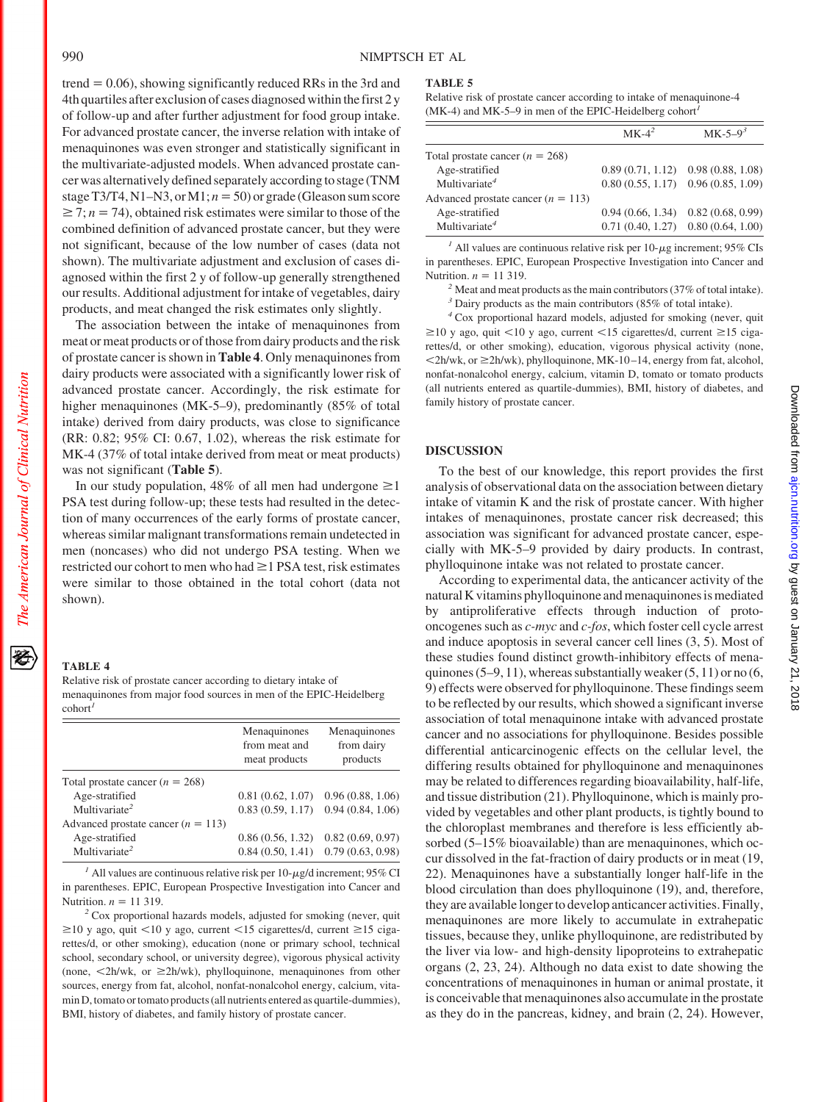trend  $= 0.06$ ), showing significantly reduced RRs in the 3rd and 4th quartiles after exclusion of cases diagnosed within the first 2 y of follow-up and after further adjustment for food group intake. For advanced prostate cancer, the inverse relation with intake of menaquinones was even stronger and statistically significant in the multivariate-adjusted models. When advanced prostate cancer was alternatively defined separately accordingto stage (TNM stage T3/T4, N1–N3, or M1;  $n = 50$ ) or grade (Gleason sum score  $\geq$  7; *n* = 74), obtained risk estimates were similar to those of the combined definition of advanced prostate cancer, but they were not significant, because of the low number of cases (data not shown). The multivariate adjustment and exclusion of cases diagnosed within the first 2 y of follow-up generally strengthened our results. Additional adjustment for intake of vegetables, dairy products, and meat changed the risk estimates only slightly.

The association between the intake of menaquinones from meat or meat products or of those from dairy products and the risk of prostate cancer is shown in **Table 4**. Only menaquinones from dairy products were associated with a significantly lower risk of advanced prostate cancer. Accordingly, the risk estimate for higher menaquinones (MK-5–9), predominantly (85% of total intake) derived from dairy products, was close to significance (RR: 0.82; 95% CI: 0.67, 1.02), whereas the risk estimate for MK-4 (37% of total intake derived from meat or meat products) was not significant (**Table 5**).

In our study population, 48% of all men had undergone  $\geq$ 1 PSA test during follow-up; these tests had resulted in the detection of many occurrences of the early forms of prostate cancer, whereas similar malignant transformations remain undetected in men (noncases) who did not undergo PSA testing. When we restricted our cohort to men who had  $\geq$  1 PSA test, risk estimates were similar to those obtained in the total cohort (data not shown).

#### **TABLE 4**

The American Journal of Clinical Nutrition

Relative risk of prostate cancer according to dietary intake of menaquinones from major food sources in men of the EPIC-Heidelberg cohort*<sup>1</sup>*

|                                        | Menaquinones<br>from meat and | Menaquinones<br>from dairy            |
|----------------------------------------|-------------------------------|---------------------------------------|
|                                        | meat products                 | products                              |
| Total prostate cancer $(n = 268)$      |                               |                                       |
| Age-stratified                         |                               | $0.81(0.62, 1.07)$ $0.96(0.88, 1.06)$ |
| Multivariate <sup>2</sup>              |                               | $0.83(0.59, 1.17)$ $0.94(0.84, 1.06)$ |
| Advanced prostate cancer ( $n = 113$ ) |                               |                                       |
| Age-stratified                         | 0.86(0.56, 1.32)              | 0.82(0.69, 0.97)                      |
| Multivariate <sup>2</sup>              |                               | $0.84(0.50, 1.41)$ $0.79(0.63, 0.98)$ |

<sup>1</sup> All values are continuous relative risk per  $10$ - $\mu$ g/d increment; 95% CI in parentheses. EPIC, European Prospective Investigation into Cancer and Nutrition.  $n = 11319$ .

*<sup>2</sup>* Cox proportional hazards models, adjusted for smoking (never, quit  $\geq$ 10 y ago, quit <10 y ago, current <15 cigarettes/d, current  $\geq$ 15 cigarettes/d, or other smoking), education (none or primary school, technical school, secondary school, or university degree), vigorous physical activity (none,  $\langle 2h/wk,$  or  $\geq 2h/wk$ ), phylloquinone, menaquinones from other sources, energy from fat, alcohol, nonfat-nonalcohol energy, calcium, vitamin D, tomato or tomato products (all nutrients entered as quartile-dummies), BMI, history of diabetes, and family history of prostate cancer.

#### **TABLE 5**

Relative risk of prostate cancer according to intake of menaquinone-4 (MK-4) and MK-5–9 in men of the EPIC-Heidelberg cohort*<sup>1</sup>*

| $MK-4^2$                              | $MK-5-9^3$ |
|---------------------------------------|------------|
|                                       |            |
| $0.89(0.71, 1.12)$ $0.98(0.88, 1.08)$ |            |
| $0.80(0.55, 1.17)$ $0.96(0.85, 1.09)$ |            |
|                                       |            |
| $0.94(0.66, 1.34)$ $0.82(0.68, 0.99)$ |            |
| $0.71(0.40, 1.27)$ $0.80(0.64, 1.00)$ |            |
|                                       |            |

<sup>1</sup> All values are continuous relative risk per 10- $\mu$ g increment; 95% CIs in parentheses. EPIC, European Prospective Investigation into Cancer and Nutrition.  $n = 11319$ .

*<sup>2</sup>* Meat and meat products as the main contributors (37% of total intake).

*<sup>3</sup>* Dairy products as the main contributors (85% of total intake).

*<sup>4</sup>* Cox proportional hazard models, adjusted for smoking (never, quit  $\geq$ 10 y ago, quit <10 y ago, current <15 cigarettes/d, current  $\geq$ 15 cigarettes/d, or other smoking), education, vigorous physical activity (none, 2h/wk, or 2h/wk), phylloquinone, MK-10 –14, energy from fat, alcohol, nonfat-nonalcohol energy, calcium, vitamin D, tomato or tomato products (all nutrients entered as quartile-dummies), BMI, history of diabetes, and family history of prostate cancer.

#### **DISCUSSION**

To the best of our knowledge, this report provides the first analysis of observational data on the association between dietary intake of vitamin K and the risk of prostate cancer. With higher intakes of menaquinones, prostate cancer risk decreased; this association was significant for advanced prostate cancer, especially with MK-5–9 provided by dairy products. In contrast, phylloquinone intake was not related to prostate cancer.

According to experimental data, the anticancer activity of the natural K vitamins phylloquinone and menaquinones is mediated by antiproliferative effects through induction of protooncogenes such as *c-myc* and *c-fos*, which foster cell cycle arrest and induce apoptosis in several cancer cell lines (3, 5). Most of these studies found distinct growth-inhibitory effects of menaquinones  $(5-9, 11)$ , whereas substantially weaker  $(5, 11)$  or no  $(6, 11)$ 9) effects were observed for phylloquinone. These findings seem to be reflected by our results, which showed a significant inverse association of total menaquinone intake with advanced prostate cancer and no associations for phylloquinone. Besides possible differential anticarcinogenic effects on the cellular level, the differing results obtained for phylloquinone and menaquinones may be related to differences regarding bioavailability, half-life, and tissue distribution (21). Phylloquinone, which is mainly provided by vegetables and other plant products, is tightly bound to the chloroplast membranes and therefore is less efficiently absorbed (5–15% bioavailable) than are menaquinones, which occur dissolved in the fat-fraction of dairy products or in meat (19, 22). Menaquinones have a substantially longer half-life in the blood circulation than does phylloquinone (19), and, therefore, they are available longer to develop anticancer activities. Finally, menaquinones are more likely to accumulate in extrahepatic tissues, because they, unlike phylloquinone, are redistributed by the liver via low- and high-density lipoproteins to extrahepatic organs (2, 23, 24). Although no data exist to date showing the concentrations of menaquinones in human or animal prostate, it is conceivable that menaquinones also accumulate in the prostate as they do in the pancreas, kidney, and brain (2, 24). However,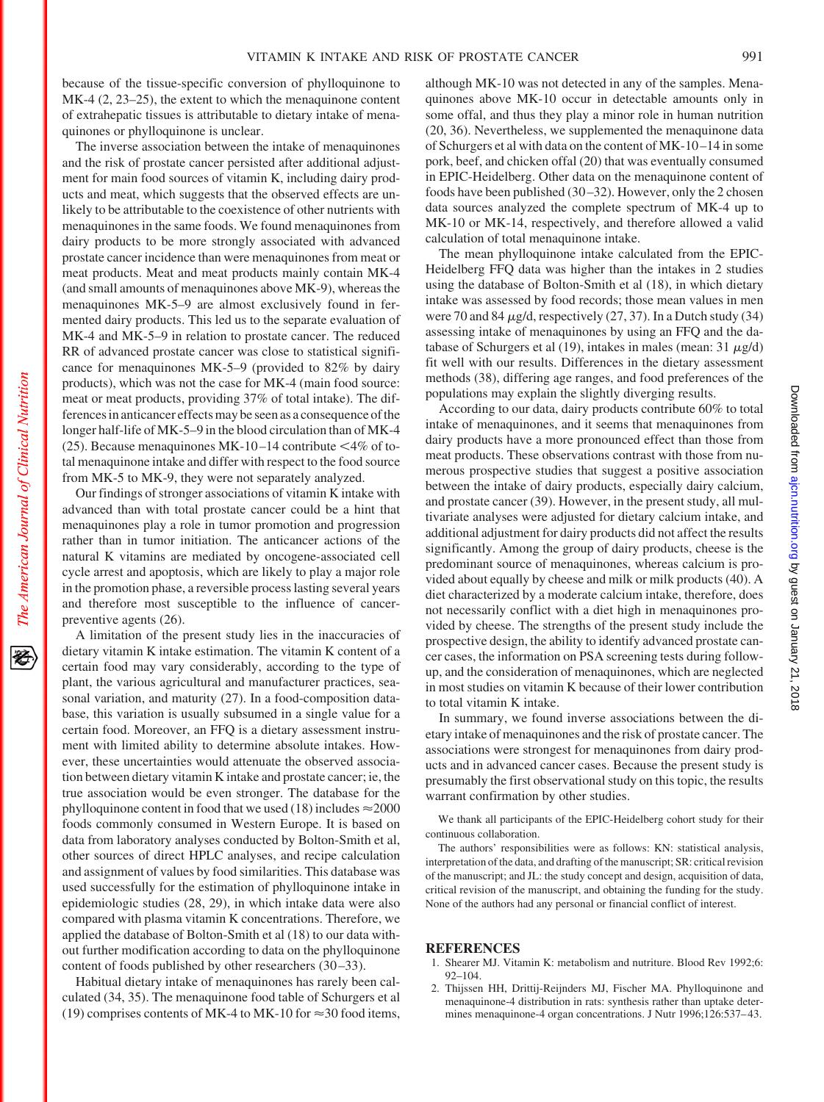because of the tissue-specific conversion of phylloquinone to MK-4 (2, 23–25), the extent to which the menaquinone content of extrahepatic tissues is attributable to dietary intake of menaquinones or phylloquinone is unclear.

The inverse association between the intake of menaquinones and the risk of prostate cancer persisted after additional adjustment for main food sources of vitamin K, including dairy products and meat, which suggests that the observed effects are unlikely to be attributable to the coexistence of other nutrients with menaquinones in the same foods. We found menaquinones from dairy products to be more strongly associated with advanced prostate cancer incidence than were menaquinones from meat or meat products. Meat and meat products mainly contain MK-4 (and small amounts of menaquinones above MK-9), whereas the menaquinones MK-5–9 are almost exclusively found in fermented dairy products. This led us to the separate evaluation of MK-4 and MK-5–9 in relation to prostate cancer. The reduced RR of advanced prostate cancer was close to statistical significance for menaquinones MK-5–9 (provided to 82% by dairy products), which was not the case for MK-4 (main food source: meat or meat products, providing 37% of total intake). The differences in anticancer effects may be seen as a consequence of the longer half-life of MK-5–9 in the blood circulation than of MK-4 (25). Because menaquinones MK-10-14 contribute  $\langle 4\% \rangle$  of total menaquinone intake and differ with respect to the food source from MK-5 to MK-9, they were not separately analyzed.

Our findings of stronger associations of vitamin K intake with advanced than with total prostate cancer could be a hint that menaquinones play a role in tumor promotion and progression rather than in tumor initiation. The anticancer actions of the natural K vitamins are mediated by oncogene-associated cell cycle arrest and apoptosis, which are likely to play a major role in the promotion phase, a reversible process lasting several years and therefore most susceptible to the influence of cancerpreventive agents (26).

A limitation of the present study lies in the inaccuracies of dietary vitamin K intake estimation. The vitamin K content of a certain food may vary considerably, according to the type of plant, the various agricultural and manufacturer practices, seasonal variation, and maturity (27). In a food-composition database, this variation is usually subsumed in a single value for a certain food. Moreover, an FFQ is a dietary assessment instrument with limited ability to determine absolute intakes. However, these uncertainties would attenuate the observed association between dietary vitamin K intake and prostate cancer; ie, the true association would be even stronger. The database for the phylloquinone content in food that we used (18) includes  $\approx$  2000 foods commonly consumed in Western Europe. It is based on data from laboratory analyses conducted by Bolton-Smith et al, other sources of direct HPLC analyses, and recipe calculation and assignment of values by food similarities. This database was used successfully for the estimation of phylloquinone intake in epidemiologic studies (28, 29), in which intake data were also compared with plasma vitamin K concentrations. Therefore, we applied the database of Bolton-Smith et al (18) to our data without further modification according to data on the phylloquinone content of foods published by other researchers (30 –33).

Habitual dietary intake of menaquinones has rarely been calculated (34, 35). The menaquinone food table of Schurgers et al (19) comprises contents of MK-4 to MK-10 for  $\approx$  30 food items,

although MK-10 was not detected in any of the samples. Menaquinones above MK-10 occur in detectable amounts only in some offal, and thus they play a minor role in human nutrition (20, 36). Nevertheless, we supplemented the menaquinone data of Schurgers et al with data on the content of MK-10 –14 in some pork, beef, and chicken offal (20) that was eventually consumed in EPIC-Heidelberg. Other data on the menaquinone content of foods have been published (30 –32). However, only the 2 chosen data sources analyzed the complete spectrum of MK-4 up to MK-10 or MK-14, respectively, and therefore allowed a valid calculation of total menaquinone intake.

The mean phylloquinone intake calculated from the EPIC-Heidelberg FFQ data was higher than the intakes in 2 studies using the database of Bolton-Smith et al (18), in which dietary intake was assessed by food records; those mean values in men were 70 and 84  $\mu$ g/d, respectively (27, 37). In a Dutch study (34) assessing intake of menaquinones by using an FFQ and the database of Schurgers et al  $(19)$ , intakes in males (mean: 31  $\mu$ g/d) fit well with our results. Differences in the dietary assessment methods (38), differing age ranges, and food preferences of the populations may explain the slightly diverging results.

According to our data, dairy products contribute 60% to total intake of menaquinones, and it seems that menaquinones from dairy products have a more pronounced effect than those from meat products. These observations contrast with those from numerous prospective studies that suggest a positive association between the intake of dairy products, especially dairy calcium, and prostate cancer (39). However, in the present study, all multivariate analyses were adjusted for dietary calcium intake, and additional adjustment for dairy products did not affect the results significantly. Among the group of dairy products, cheese is the predominant source of menaquinones, whereas calcium is provided about equally by cheese and milk or milk products (40). A diet characterized by a moderate calcium intake, therefore, does not necessarily conflict with a diet high in menaquinones provided by cheese. The strengths of the present study include the prospective design, the ability to identify advanced prostate cancer cases, the information on PSA screening tests during followup, and the consideration of menaquinones, which are neglected in most studies on vitamin K because of their lower contribution to total vitamin K intake.

In summary, we found inverse associations between the dietary intake of menaquinones and the risk of prostate cancer. The associations were strongest for menaquinones from dairy products and in advanced cancer cases. Because the present study is presumably the first observational study on this topic, the results warrant confirmation by other studies.

We thank all participants of the EPIC-Heidelberg cohort study for their continuous collaboration.

The authors' responsibilities were as follows: KN: statistical analysis, interpretation of the data, and drafting of the manuscript; SR: critical revision of the manuscript; and JL: the study concept and design, acquisition of data, critical revision of the manuscript, and obtaining the funding for the study. None of the authors had any personal or financial conflict of interest.

#### **REFERENCES**

- 1. Shearer MJ. Vitamin K: metabolism and nutriture. Blood Rev 1992;6: 92–104.
- 2. Thijssen HH, Drittij-Reijnders MJ, Fischer MA. Phylloquinone and menaquinone-4 distribution in rats: synthesis rather than uptake determines menaquinone-4 organ concentrations. J Nutr 1996;126:537– 43.

by guest on January 21, 2018 [ajcn.nutrition.org](http://ajcn.nutrition.org/) Downloaded from

Downloaded from ajcn.nutrition.org by guest on January 21, 2018